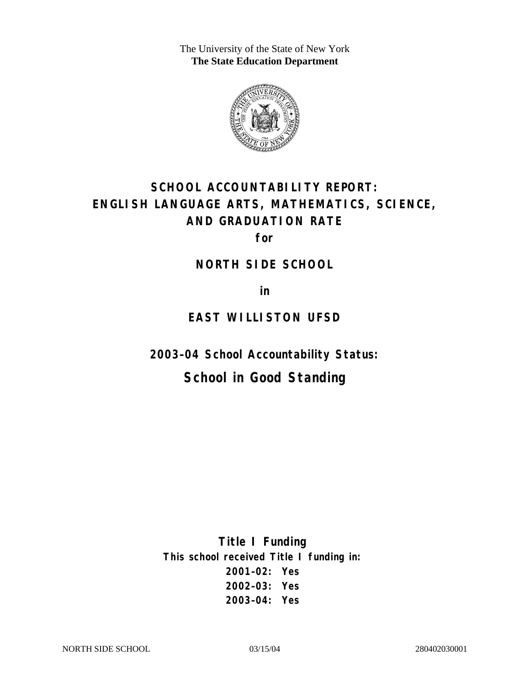The University of the State of New York **The State Education Department** 



# **SCHOOL ACCOUNTABILITY REPORT: ENGLISH LANGUAGE ARTS, MATHEMATICS, SCIENCE, AND GRADUATION RATE**

**for** 

#### **NORTH SIDE SCHOOL**

**in** 

# **EAST WILLISTON UFSD**

**2003–04 School Accountability Status:** 

# **School in Good Standing**

**Title I Funding This school received Title I funding in: 2001–02: Yes 2002–03: Yes 2003–04: Yes**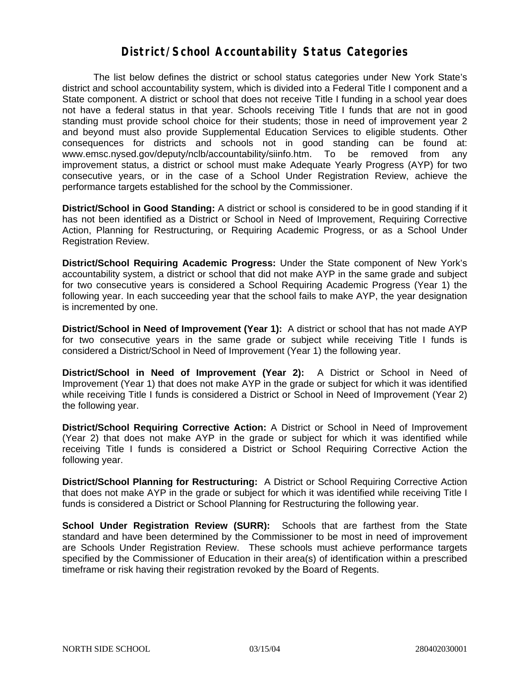#### **District/School Accountability Status Categories**

The list below defines the district or school status categories under New York State's district and school accountability system, which is divided into a Federal Title I component and a State component. A district or school that does not receive Title I funding in a school year does not have a federal status in that year. Schools receiving Title I funds that are not in good standing must provide school choice for their students; those in need of improvement year 2 and beyond must also provide Supplemental Education Services to eligible students. Other consequences for districts and schools not in good standing can be found at: www.emsc.nysed.gov/deputy/nclb/accountability/siinfo.htm. To be removed from any improvement status, a district or school must make Adequate Yearly Progress (AYP) for two consecutive years, or in the case of a School Under Registration Review, achieve the performance targets established for the school by the Commissioner.

**District/School in Good Standing:** A district or school is considered to be in good standing if it has not been identified as a District or School in Need of Improvement, Requiring Corrective Action, Planning for Restructuring, or Requiring Academic Progress, or as a School Under Registration Review.

**District/School Requiring Academic Progress:** Under the State component of New York's accountability system, a district or school that did not make AYP in the same grade and subject for two consecutive years is considered a School Requiring Academic Progress (Year 1) the following year. In each succeeding year that the school fails to make AYP, the year designation is incremented by one.

**District/School in Need of Improvement (Year 1):** A district or school that has not made AYP for two consecutive years in the same grade or subject while receiving Title I funds is considered a District/School in Need of Improvement (Year 1) the following year.

**District/School in Need of Improvement (Year 2):** A District or School in Need of Improvement (Year 1) that does not make AYP in the grade or subject for which it was identified while receiving Title I funds is considered a District or School in Need of Improvement (Year 2) the following year.

**District/School Requiring Corrective Action:** A District or School in Need of Improvement (Year 2) that does not make AYP in the grade or subject for which it was identified while receiving Title I funds is considered a District or School Requiring Corrective Action the following year.

**District/School Planning for Restructuring:** A District or School Requiring Corrective Action that does not make AYP in the grade or subject for which it was identified while receiving Title I funds is considered a District or School Planning for Restructuring the following year.

**School Under Registration Review (SURR):** Schools that are farthest from the State standard and have been determined by the Commissioner to be most in need of improvement are Schools Under Registration Review. These schools must achieve performance targets specified by the Commissioner of Education in their area(s) of identification within a prescribed timeframe or risk having their registration revoked by the Board of Regents.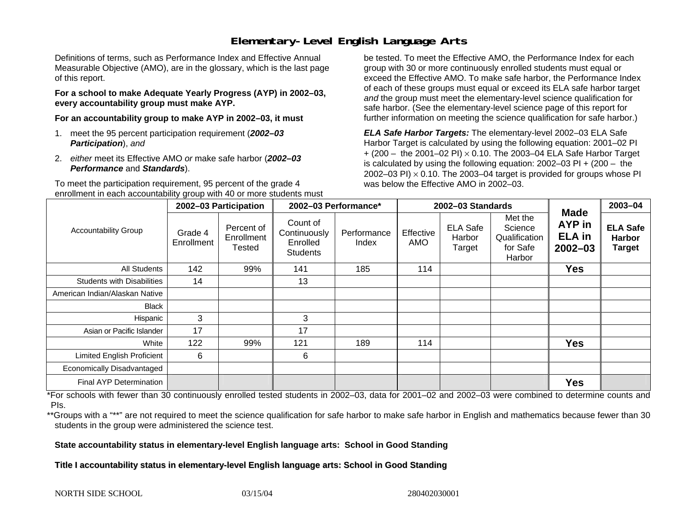## **Elementary-Level English Language Arts**

Definitions of terms, such as Performance Index and Effective Annual Measurable Objective (AMO), are in the glossary, which is the last page of this report.

**For a school to make Adequate Yearly Progress (AYP) in 2002–03, every accountability group must make AYP.** 

**For an accountability group to make AYP in 2002–03, it must** 

- 1. meet the 95 percent participation requirement (*2002–03 Participation*), *and*
- 2. *either* meet its Effective AMO *or* make safe harbor (*2002–03 Performance* and *Standards*).

To meet the participation requirement, 95 percent of the grade 4 enrollment in each accountability group with 40 or more students must

be tested. To meet the Effective AMO, the Performance Index for each group with 30 or more continuously enrolled students must equal or exceed the Effective AMO. To make safe harbor, the Performance Index of each of these groups must equal or exceed its ELA safe harbor target *and* the group must meet the elementary-level science qualification for safe harbor. (See the elementary-level science page of this report for further information on meeting the science qualification for safe harbor.)

*ELA Safe Harbor Targets:* The elementary-level 2002–03 ELA Safe Harbor Target is calculated by using the following equation: 2001–02 PI + (200 – the 2001–02 PI) <sup>×</sup> 0.10. The 2003–04 ELA Safe Harbor Target is calculated by using the following equation: 2002–03 PI + (200 – the 2002–03 PI)  $\times$  0.10. The 2003–04 target is provided for groups whose PI was below the Effective AMO in 2002–03.

| <b>Accountability Group</b>       | 2002-03 Participation |                                           | 2002-03 Performance*                                    |                      | 2002-03 Standards |                                     |                                                           |                                                       | 2003-04                                           |
|-----------------------------------|-----------------------|-------------------------------------------|---------------------------------------------------------|----------------------|-------------------|-------------------------------------|-----------------------------------------------------------|-------------------------------------------------------|---------------------------------------------------|
|                                   | Grade 4<br>Enrollment | Percent of<br>Enrollment<br><b>Tested</b> | Count of<br>Continuously<br>Enrolled<br><b>Students</b> | Performance<br>Index | Effective<br>AMO  | <b>ELA Safe</b><br>Harbor<br>Target | Met the<br>Science<br>Qualification<br>for Safe<br>Harbor | Made<br><b>AYP</b> in<br><b>ELA</b> in<br>$2002 - 03$ | <b>ELA Safe</b><br><b>Harbor</b><br><b>Target</b> |
| <b>All Students</b>               | 142                   | 99%                                       | 141                                                     | 185                  | 114               |                                     |                                                           | <b>Yes</b>                                            |                                                   |
| <b>Students with Disabilities</b> | 14                    |                                           | 13                                                      |                      |                   |                                     |                                                           |                                                       |                                                   |
| American Indian/Alaskan Native    |                       |                                           |                                                         |                      |                   |                                     |                                                           |                                                       |                                                   |
| <b>Black</b>                      |                       |                                           |                                                         |                      |                   |                                     |                                                           |                                                       |                                                   |
| Hispanic                          | 3                     |                                           | 3                                                       |                      |                   |                                     |                                                           |                                                       |                                                   |
| Asian or Pacific Islander         | 17                    |                                           | 17                                                      |                      |                   |                                     |                                                           |                                                       |                                                   |
| White                             | 122                   | 99%                                       | 121                                                     | 189                  | 114               |                                     |                                                           | <b>Yes</b>                                            |                                                   |
| <b>Limited English Proficient</b> | 6                     |                                           | 6                                                       |                      |                   |                                     |                                                           |                                                       |                                                   |
| Economically Disadvantaged        |                       |                                           |                                                         |                      |                   |                                     |                                                           |                                                       |                                                   |
| Final AYP Determination           |                       |                                           |                                                         |                      |                   |                                     |                                                           | <b>Yes</b>                                            |                                                   |

\*For schools with fewer than 30 continuously enrolled tested students in 2002–03, data for 2001–02 and 2002–03 were combined to determine counts and PIs.

\*\*Groups with a "\*\*" are not required to meet the science qualification for safe harbor to make safe harbor in English and mathematics because fewer than 30 students in the group were administered the science test.

**State accountability status in elementary-level English language arts: School in Good Standing** 

Title I accountability status in elementary-level English language arts: School in Good Standing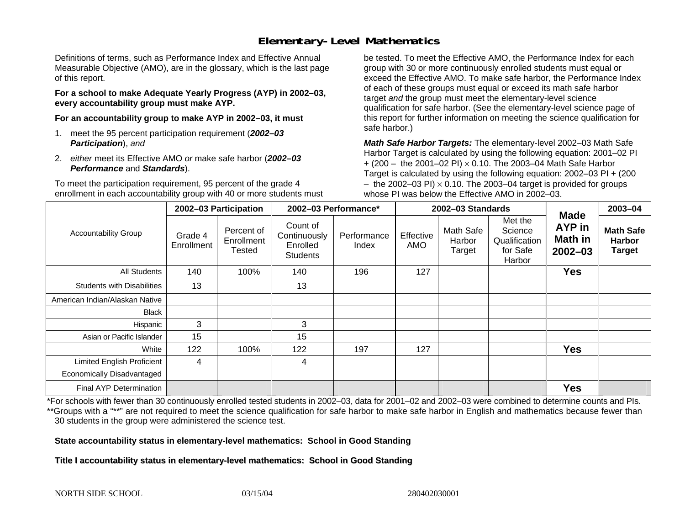## **Elementary-Level Mathematics**

Definitions of terms, such as Performance Index and Effective Annual Measurable Objective (AMO), are in the glossary, which is the last page of this report.

**For a school to make Adequate Yearly Progress (AYP) in 2002–03, every accountability group must make AYP.** 

**For an accountability group to make AYP in 2002–03, it must** 

- 1. meet the 95 percent participation requirement (*2002–03 Participation*), *and*
- 2. *either* meet its Effective AMO *or* make safe harbor (*2002–03 Performance* and *Standards*).

To meet the participation requirement, 95 percent of the grade 4 enrollment in each accountability group with 40 or more students must

be tested. To meet the Effective AMO, the Performance Index for each group with 30 or more continuously enrolled students must equal or exceed the Effective AMO. To make safe harbor, the Performance Index of each of these groups must equal or exceed its math safe harbor target *and* the group must meet the elementary-level science qualification for safe harbor. (See the elementary-level science page of this report for further information on meeting the science qualification for safe harbor.)

*Math Safe Harbor Targets:* The elementary-level 2002–03 Math Safe Harbor Target is calculated by using the following equation: 2001–02 PI + (200 – the 2001–02 PI) × 0.10. The 2003–04 Math Safe Harbor Target is calculated by using the following equation: 2002–03 PI + (200  $-$  the 2002–03 PI)  $\times$  0.10. The 2003–04 target is provided for groups whose PI was below the Effective AMO in 2002–03.

| <b>Accountability Group</b>       | 2002-03 Participation |                                    | 2002-03 Performance*                                    |                      | 2002-03 Standards |                               |                                                           |                                                        | 2003-04                                            |
|-----------------------------------|-----------------------|------------------------------------|---------------------------------------------------------|----------------------|-------------------|-------------------------------|-----------------------------------------------------------|--------------------------------------------------------|----------------------------------------------------|
|                                   | Grade 4<br>Enrollment | Percent of<br>Enrollment<br>Tested | Count of<br>Continuously<br>Enrolled<br><b>Students</b> | Performance<br>Index | Effective<br>AMO  | Math Safe<br>Harbor<br>Target | Met the<br>Science<br>Qualification<br>for Safe<br>Harbor | <b>Made</b><br>AYP in<br><b>Math in</b><br>$2002 - 03$ | <b>Math Safe</b><br><b>Harbor</b><br><b>Target</b> |
| All Students                      | 140                   | 100%                               | 140                                                     | 196                  | 127               |                               |                                                           | <b>Yes</b>                                             |                                                    |
| <b>Students with Disabilities</b> | 13                    |                                    | 13                                                      |                      |                   |                               |                                                           |                                                        |                                                    |
| American Indian/Alaskan Native    |                       |                                    |                                                         |                      |                   |                               |                                                           |                                                        |                                                    |
| <b>Black</b>                      |                       |                                    |                                                         |                      |                   |                               |                                                           |                                                        |                                                    |
| Hispanic                          | 3                     |                                    | 3                                                       |                      |                   |                               |                                                           |                                                        |                                                    |
| Asian or Pacific Islander         | 15                    |                                    | 15                                                      |                      |                   |                               |                                                           |                                                        |                                                    |
| White                             | 122                   | 100%                               | 122                                                     | 197                  | 127               |                               |                                                           | <b>Yes</b>                                             |                                                    |
| Limited English Proficient        | 4                     |                                    | 4                                                       |                      |                   |                               |                                                           |                                                        |                                                    |
| Economically Disadvantaged        |                       |                                    |                                                         |                      |                   |                               |                                                           |                                                        |                                                    |
| <b>Final AYP Determination</b>    |                       |                                    |                                                         |                      |                   |                               |                                                           | <b>Yes</b>                                             |                                                    |

\*For schools with fewer than 30 continuously enrolled tested students in 2002–03, data for 2001–02 and 2002–03 were combined to determine counts and PIs. \*\*Groups with a "\*\*" are not required to meet the science qualification for safe harbor to make safe harbor in English and mathematics because fewer than 30 students in the group were administered the science test.

**State accountability status in elementary-level mathematics: School in Good Standing** 

Title I accountability status in elementary-level mathematics: School in Good Standing

NORTH SIDE SCHOOL 03/15/04 280402030001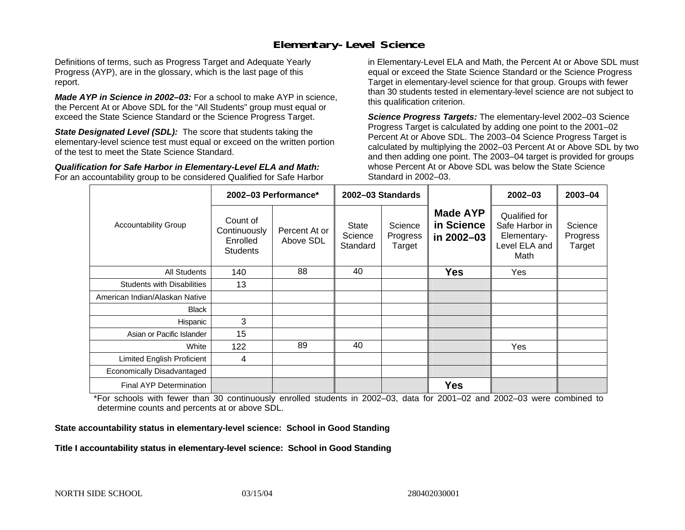### **Elementary-Level Science**

Definitions of terms, such as Progress Target and Adequate Yearly Progress (AYP), are in the glossary, which is the last page of this report.

*Made AYP in Science in 2002–03:* For a school to make AYP in science, the Percent At or Above SDL for the "All Students" group must equal or exceed the State Science Standard or the Science Progress Target.

**State Designated Level (SDL):** The score that students taking the elementary-level science test must equal or exceed on the written portion of the test to meet the State Science Standard.

*Qualification for Safe Harbor in Elementary-Level ELA and Math:* For an accountability group to be considered Qualified for Safe Harbor in Elementary-Level ELA and Math, the Percent At or Above SDL must equal or exceed the State Science Standard or the Science Progress Target in elementary-level science for that group. Groups with fewer than 30 students tested in elementary-level science are not subject to this qualification criterion.

*Science Progress Targets:* The elementary-level 2002–03 Science Progress Target is calculated by adding one point to the 2001–02 Percent At or Above SDL. The 2003–04 Science Progress Target is calculated by multiplying the 2002–03 Percent At or Above SDL by two and then adding one point. The 2003–04 target is provided for groups whose Percent At or Above SDL was below the State Science Standard in 2002–03.

|                                   |                                                         | 2002-03 Performance*       | 2002-03 Standards            |                               |                                             | $2002 - 03$                                                             | 2003-04                       |
|-----------------------------------|---------------------------------------------------------|----------------------------|------------------------------|-------------------------------|---------------------------------------------|-------------------------------------------------------------------------|-------------------------------|
| <b>Accountability Group</b>       | Count of<br>Continuously<br>Enrolled<br><b>Students</b> | Percent At or<br>Above SDL | State<br>Science<br>Standard | Science<br>Progress<br>Target | <b>Made AYP</b><br>in Science<br>in 2002-03 | Qualified for<br>Safe Harbor in<br>Elementary-<br>Level ELA and<br>Math | Science<br>Progress<br>Target |
| All Students                      | 140                                                     | 88                         | 40                           |                               | <b>Yes</b>                                  | Yes                                                                     |                               |
| <b>Students with Disabilities</b> | 13                                                      |                            |                              |                               |                                             |                                                                         |                               |
| American Indian/Alaskan Native    |                                                         |                            |                              |                               |                                             |                                                                         |                               |
| <b>Black</b>                      |                                                         |                            |                              |                               |                                             |                                                                         |                               |
| Hispanic                          | 3                                                       |                            |                              |                               |                                             |                                                                         |                               |
| Asian or Pacific Islander         | 15                                                      |                            |                              |                               |                                             |                                                                         |                               |
| White                             | 122                                                     | 89                         | 40                           |                               |                                             | Yes                                                                     |                               |
| Limited English Proficient        | 4                                                       |                            |                              |                               |                                             |                                                                         |                               |
| Economically Disadvantaged        |                                                         |                            |                              |                               |                                             |                                                                         |                               |
| <b>Final AYP Determination</b>    |                                                         |                            |                              |                               | <b>Yes</b>                                  |                                                                         |                               |

\*For schools with fewer than 30 continuously enrolled students in 2002–03, data for 2001–02 and 2002–03 were combined to determine counts and percents at or above SDL.

#### **State accountability status in elementary-level science: School in Good Standing**

#### Title I accountability status in elementary-level science: School in Good Standing